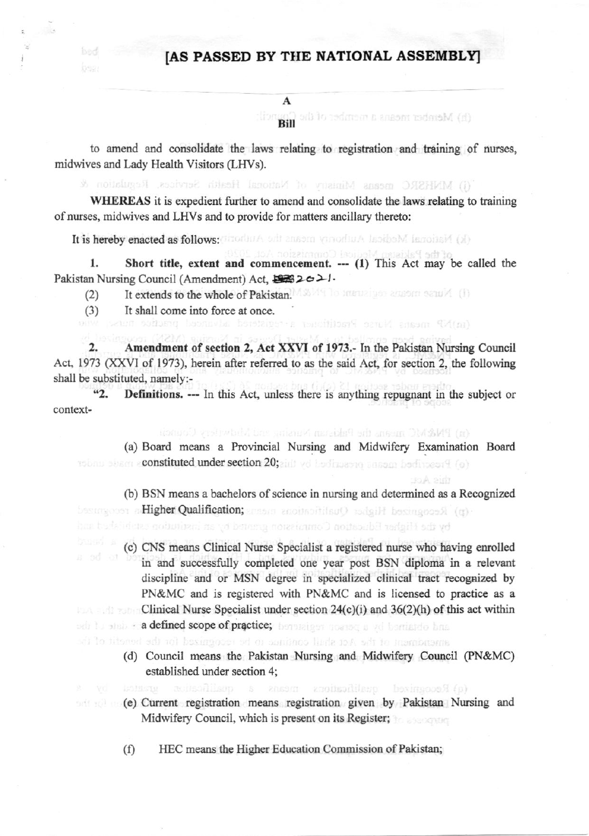## [AS PASSED BY THE NATIONAL ASSEMBLY]

## A

(h) Member means a member of the Con

to amend and consolidate the laws relating to registration and training of nurses, midwives and Lady Health Visitors (LHVs).

(i) MNHSRC means Ministry of National Health Services. Regulation &

WHEREAS it is expedient further to amend and consolidate the laws relating to training of nurses, midwives and LHVs and to provide for matters ancillary thereto:

It is hereby enacted as follows: aborded but ansom vinorisus inside M ismoinsid (x)

of the Pakistan Medical Commission Act. 1. Short title, extent and commencement. --- (1) This Act may be called the 

- It extends to the whole of Pakistan. MASMAN To mental generation satura (ii)  $(2)$
- It shall come into force at once.  $(3)$

ised.

(m)NP means Nurse Practitions a consteted advance.

 $2.$ Amendment of section 2, Act XXVI of 1973.- In the Pakistan Nursing Council Act, 1973 (XXVI of 1973), herein after referred to as the said Act, for section 2, the following shall be substituted, namely:-

 $42.$ **Definitions.** --- In this Act, unless there is anything repugnant in the subject or context-

(n) PM&MC means the Pakistan Nursing and Mawristry Council

(a) Board means a Provincial Nursing and Midwifery Examination Board tobay about e**constituted under section 20;** and yet be finalized based for (o)

(b) BSN means a bachelors of science in nursing and determined as a Recognized become cost a Higher Qualification; ansers anothorities O palgill becomeon in (a) by the Higher Education Commission granted by an institution established and

this Act:

(c) CNS means Clinical Nurse Specialist a registered nurse who having enrolled in and successfully completed one year post BSN diploma in a relevant discipline and or MSN degree in specialized clinical tract recognized by PN&MC and is registered with PN&MC and is licensed to practice as a Clinical Nurse Specialist under section  $24(c)(i)$  and  $36(2)(h)$  of this act within on to stab + a defined scope of practice; benefices moaned a vd berriatelo has

aluendment of the Act shall continue to he recognized for the hornitories the

e Recognized qualifications a susaint a qualification aver in a

- (d) Council means the Pakistan Nursing and Midwifery Council (PN&MC) established under section 4;
- (e) Current registration means registration given by Pakistan Nursing and Midwifery Council, which is present on its Register;

HEC means the Higher Education Commission of Pakistan;  $(f)$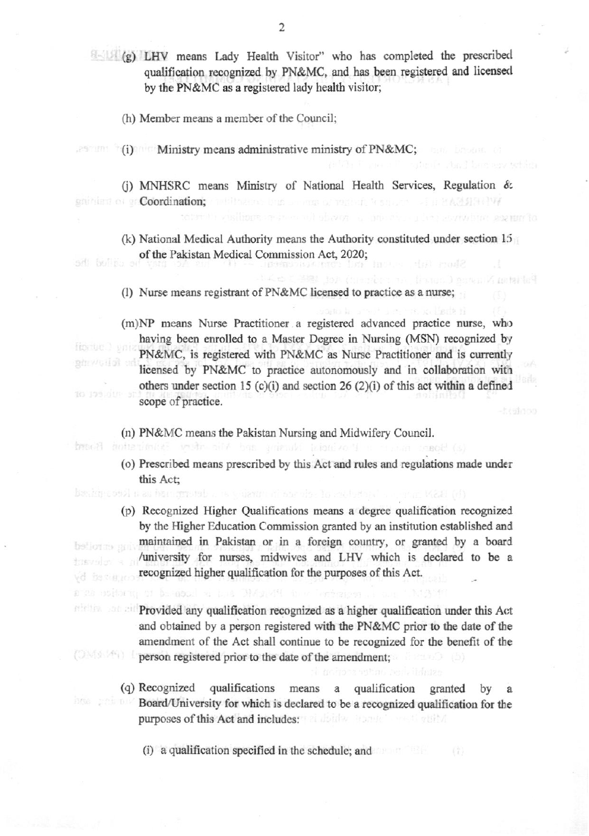(g) LHV means Lady Health Visitor" who has completed the prescribed qualification recognized by PN&MC, and has been registered and licensed by the PN&MC as a registered lady health visitor;

(h) Member means a member of the Council;

(i) Ministry means administrative ministry of PN&MC;

(j) MNHSRC means Ministry of National Health Services, Regulation & sainima or ga Coordination; 28 人名日 保古联合国(1977)

(k) National Medical Authority means the Authority constituted under section 15 of the Pakistan Medical Commission Act, 2020; ad bullio

of our sex und

tai lef

(l) Nurse means registrant of PN&MC licensed to practice as a nurse;

(m)NP means Nurse Practitioner a registered advanced practice nurse, who having been enrolled to a Master Degree in Nursing (MSN) recognized by finitie 3 vote PN&MC, is registered with PN&MC as Nurse Practitioner and is currently ghevelof ar licensed by PN&MC to practice autonomously and in collaboration with others under section 15 (c)(i) and section 26 (2)(i) of this act within a defined scope of practice.

(n) PN&MC means the Pakistan Nursing and Midwifery Council.

brook anteriment webs all has primit himison in making tenot

traco des

a sa maitor ni bi bi nool si bini Divisi

- (o) Prescribed means prescribed by this Act and rules and regulations made under this Act:
- (p) Recognized Higher Qualifications means a degree qualification recognized by the Higher Education Commission granted by an institution established and maintained in Pakistan or in a foreign country, or granted by a board hellotm min /university for nurses, midwives and LHV which is declared to be a recognized higher qualification for the purposes of this Act. connect by
- Provided any qualification recognized as a higher qualification under this Act and obtained by a person registered with the PN&MC prior to the date of the amendment of the Act shall continue to be recognized for the benefit of the (OMd (作) 1 person registered prior to the date of the amendment;
	- (q) Recognized qualifications means a qualification granted by Board/University for which is declared to be a recognized qualification for the purposes of this Act and includes: and bides and a state of the state of the state of the state of the state of

(i) a qualification specified in the schedule; and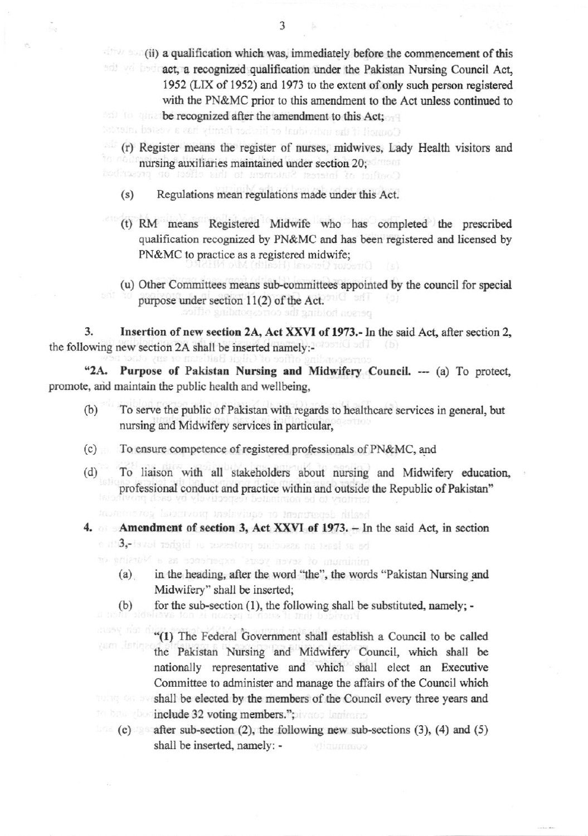(ii) a qualification which was, immediately before the commencement of this and and act, a recognized qualification under the Pakistan Nursing Council Act, 1952 (LIX of 1952) and 1973 to the extent of only such person registered with the PN&MC prior to this amendment to the Act unless continued to **Example 10 be recognized after the amendment to this Act;** 

Council if the individual or his/her family has a vested interest

- (r) Register means the register of nurses, midwives, Lady Health visitors and nursing auxiliaries maintained under section 20;
- Regulations mean regulations made under this Act.  $(s)$
- (t) RM means Registered Midwife who has completed the prescribed qualification recognized by PN&MC and has been registered and licensed by PN&MC to practice as a registered midwife;
- (u) Other Committees means sub-committees appointed by the council for special purpose under section 11(2) of the Act. person holding the corresponding of

Insertion of new section 2A, Act XXVI of 1973.- In the said Act, after section 2, 3. the following new section 2A shall be inserted namely:-

 $42A.$ Purpose of Pakistan Nursing and Midwifery Council. --- (a) To protect, promote, and maintain the public health and wellbeing,

- $(b)$ To serve the public of Pakistan with regards to healthcare services in general, but nursing and Midwifery services in particular,
- (c) To ensure competence of registered professionals of PN&MC, and
- $(d)$ To liaison with all stakeholders about nursing and Midwifery education, professional conduct and practice within and outside the Republic of Pakistan"

eattle department or cautivalent provinc

4. Amendment of section 3, Act XXVI of 1973. - In the said Act, in section be at least an associate professor or higher lovel (8th o

minimum of seven years' experience as a Nursine or

- in the heading, after the word "the", the words "Pakistan Nursing and  $(a)$ Midwifery" shall be inserted;
- $(b)$ for the sub-section (1), the following shall be substituted, namely; -

"(1) The Federal Government shall establish a Council to be called the Pakistan Nursing and Midwifery Council, which shall be nationally representative and which shall elect an Executive Committee to administer and manage the affairs of the Council which shall be elected by the members of the Council every three years and booinclude 32 voting members."; ivage laminum

 $(c)$  after sub-section (2), the following new sub-sections (3), (4) and (5) shall be inserted, namely: coannanty